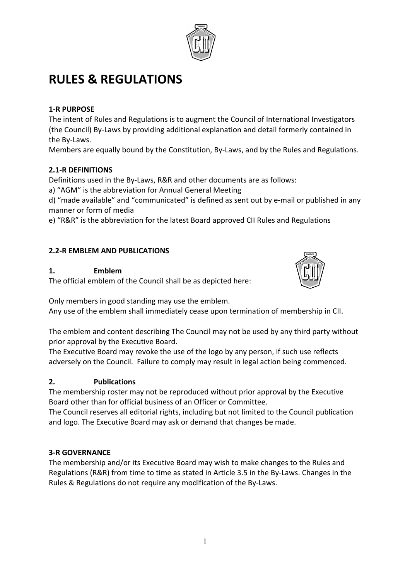# **RULES & REGULATIONS**

# **1-R PURPOSE**

The intent of Rules and Regulations is to augment the Council of International Investigators (the Council) By-Laws by providing additional explanation and detail formerly contained in the By-Laws.

Members are equally bound by the Constitution, By-Laws, and by the Rules and Regulations.

# **2.1-R DEFINITIONS**

Definitions used in the By-Laws, R&R and other documents are as follows:

a) "AGM" is the abbreviation for Annual General Meeting

d) "made available" and "communicated" is defined as sent out by e-mail or published in any manner or form of media

e) "R&R" is the abbreviation for the latest Board approved CII Rules and Regulations

# **2.2-R EMBLEM AND PUBLICATIONS**

# **1. Emblem**

The official emblem of the Council shall be as depicted here:

Only members in good standing may use the emblem.

Any use of the emblem shall immediately cease upon termination of membership in CII.

The emblem and content describing The Council may not be used by any third party without prior approval by the Executive Board.

The Executive Board may revoke the use of the logo by any person, if such use reflects adversely on the Council. Failure to comply may result in legal action being commenced.

# **2. Publications**

The membership roster may not be reproduced without prior approval by the Executive Board other than for official business of an Officer or Committee.

The Council reserves all editorial rights, including but not limited to the Council publication and logo. The Executive Board may ask or demand that changes be made.

# **3-R GOVERNANCE**

The membership and/or its Executive Board may wish to make changes to the Rules and Regulations (R&R) from time to time as stated in Article 3.5 in the By-Laws. Changes in the Rules & Regulations do not require any modification of the By-Laws.



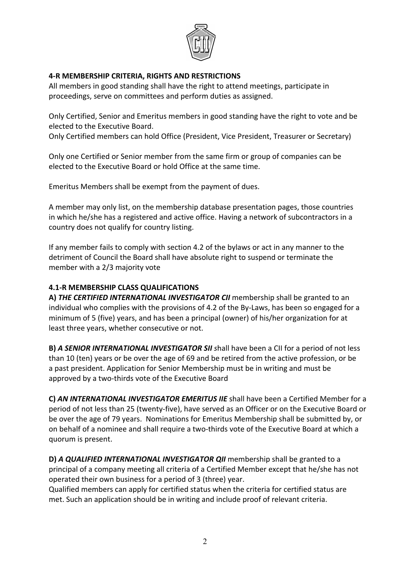

# **4-R MEMBERSHIP CRITERIA, RIGHTS AND RESTRICTIONS**

All members in good standing shall have the right to attend meetings, participate in proceedings, serve on committees and perform duties as assigned.

Only Certified, Senior and Emeritus members in good standing have the right to vote and be elected to the Executive Board.

Only Certified members can hold Office (President, Vice President, Treasurer or Secretary)

Only one Certified or Senior member from the same firm or group of companies can be elected to the Executive Board or hold Office at the same time.

Emeritus Members shall be exempt from the payment of dues.

A member may only list, on the membership database presentation pages, those countries in which he/she has a registered and active office. Having a network of subcontractors in a country does not qualify for country listing.

If any member fails to comply with section 4.2 of the bylaws or act in any manner to the detriment of Council the Board shall have absolute right to suspend or terminate the member with a 2/3 majority vote

# **4.1-R MEMBERSHIP CLASS QUALIFICATIONS**

A) THE CERTIFIED INTERNATIONAL INVESTIGATOR CII membership shall be granted to an individual who complies with the provisions of 4.2 of the By-Laws, has been so engaged for a minimum of 5 (five) years, and has been a principal (owner) of his/her organization for at least three years, whether consecutive or not.

**B) A SENIOR INTERNATIONAL INVESTIGATOR SII** shall have been a CII for a period of not less than 10 (ten) years or be over the age of 69 and be retired from the active profession, or be a past president. Application for Senior Membership must be in writing and must be approved by a two-thirds vote of the Executive Board

C) AN INTERNATIONAL INVESTIGATOR EMERITUS IIE shall have been a Certified Member for a period of not less than 25 (twenty-five), have served as an Officer or on the Executive Board or be over the age of 79 years. Nominations for Emeritus Membership shall be submitted by, or on behalf of a nominee and shall require a two-thirds vote of the Executive Board at which a quorum is present.

**D)** A QUALIFIED INTERNATIONAL INVESTIGATOR QII membership shall be granted to a principal of a company meeting all criteria of a Certified Member except that he/she has not operated their own business for a period of 3 (three) year.

Qualified members can apply for certified status when the criteria for certified status are met. Such an application should be in writing and include proof of relevant criteria.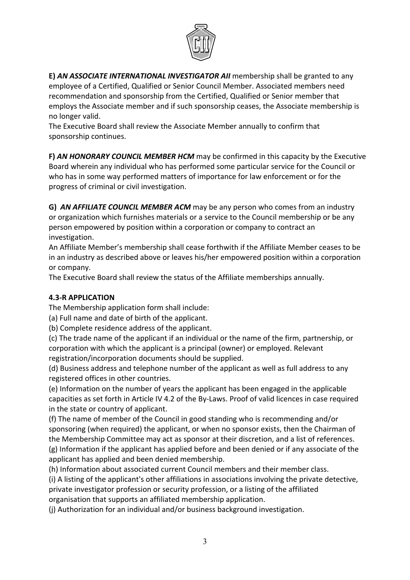

**E) AN ASSOCIATE INTERNATIONAL INVESTIGATOR AII** membership shall be granted to any employee of a Certified, Qualified or Senior Council Member. Associated members need recommendation and sponsorship from the Certified, Qualified or Senior member that employs the Associate member and if such sponsorship ceases, the Associate membership is no longer valid.

The Executive Board shall review the Associate Member annually to confirm that sponsorship continues.

**F) AN HONORARY COUNCIL MEMBER HCM** may be confirmed in this capacity by the Executive Board wherein any individual who has performed some particular service for the Council or who has in some way performed matters of importance for law enforcement or for the progress of criminal or civil investigation.

**G) AN AFFILIATE COUNCIL MEMBER ACM** may be any person who comes from an industry or organization which furnishes materials or a service to the Council membership or be any person empowered by position within a corporation or company to contract an investigation. 

An Affiliate Member's membership shall cease forthwith if the Affiliate Member ceases to be in an industry as described above or leaves his/her empowered position within a corporation or company.

The Executive Board shall review the status of the Affiliate memberships annually.

#### **4.3-R APPLICATION**

The Membership application form shall include:

(a) Full name and date of birth of the applicant.

(b) Complete residence address of the applicant.

(c) The trade name of the applicant if an individual or the name of the firm, partnership, or corporation with which the applicant is a principal (owner) or employed. Relevant registration/incorporation documents should be supplied.

(d) Business address and telephone number of the applicant as well as full address to any registered offices in other countries.

(e) Information on the number of years the applicant has been engaged in the applicable capacities as set forth in Article IV 4.2 of the By-Laws. Proof of valid licences in case required in the state or country of applicant.

(f) The name of member of the Council in good standing who is recommending and/or sponsoring (when required) the applicant, or when no sponsor exists, then the Chairman of the Membership Committee may act as sponsor at their discretion, and a list of references.  $(g)$  Information if the applicant has applied before and been denied or if any associate of the applicant has applied and been denied membership.

(h) Information about associated current Council members and their member class.

(i) A listing of the applicant's other affiliations in associations involving the private detective, private investigator profession or security profession, or a listing of the affiliated

organisation that supports an affiliated membership application.

(i) Authorization for an individual and/or business background investigation.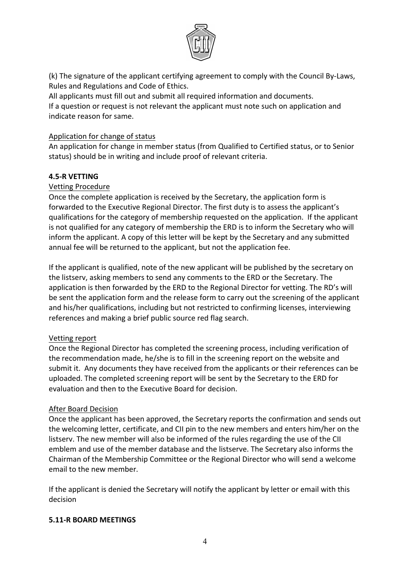

(k) The signature of the applicant certifying agreement to comply with the Council By-Laws, Rules and Regulations and Code of Ethics.

All applicants must fill out and submit all required information and documents. If a question or request is not relevant the applicant must note such on application and indicate reason for same.

#### Application for change of status

An application for change in member status (from Qualified to Certified status, or to Senior status) should be in writing and include proof of relevant criteria.

#### **4.5-R VETTING**

#### Vetting Procedure

Once the complete application is received by the Secretary, the application form is forwarded to the Executive Regional Director. The first duty is to assess the applicant's qualifications for the category of membership requested on the application. If the applicant is not qualified for any category of membership the ERD is to inform the Secretary who will inform the applicant. A copy of this letter will be kept by the Secretary and any submitted annual fee will be returned to the applicant, but not the application fee.

If the applicant is qualified, note of the new applicant will be published by the secretary on the listserv, asking members to send any comments to the ERD or the Secretary. The application is then forwarded by the ERD to the Regional Director for vetting. The RD's will be sent the application form and the release form to carry out the screening of the applicant and his/her qualifications, including but not restricted to confirming licenses, interviewing references and making a brief public source red flag search.

#### Vetting report

Once the Regional Director has completed the screening process, including verification of the recommendation made, he/she is to fill in the screening report on the website and submit it. Any documents they have received from the applicants or their references can be uploaded. The completed screening report will be sent by the Secretary to the ERD for evaluation and then to the Executive Board for decision.

#### **After Board Decision**

Once the applicant has been approved, the Secretary reports the confirmation and sends out the welcoming letter, certificate, and CII pin to the new members and enters him/her on the listserv. The new member will also be informed of the rules regarding the use of the CII emblem and use of the member database and the listserve. The Secretary also informs the Chairman of the Membership Committee or the Regional Director who will send a welcome email to the new member.

If the applicant is denied the Secretary will notify the applicant by letter or email with this decision

#### **5.11-R BOARD MEETINGS**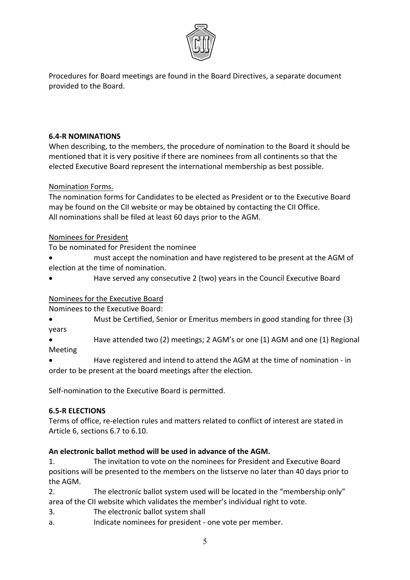

Procedures for Board meetings are found in the Board Directives, a separate document provided to the Board.

#### **6.4-R NOMINATIONS**

When describing, to the members, the procedure of nomination to the Board it should be mentioned that it is very positive if there are nominees from all continents so that the elected Executive Board represent the international membership as best possible.

# Nomination Forms.

The nomination forms for Candidates to be elected as President or to the Executive Board may be found on the CII website or may be obtained by contacting the CII Office. All nominations shall be filed at least 60 days prior to the AGM.

#### Nominees for President

To be nominated for President the nominee

- must accept the nomination and have registered to be present at the AGM of election at the time of nomination.
- Have served any consecutive 2 (two) years in the Council Executive Board

# Nominees for the Executive Board

Nominees to the Executive Board:

- Must be Certified, Senior or Emeritus members in good standing for three (3) years
- Have attended two (2) meetings; 2 AGM's or one (1) AGM and one (1) Regional Meeting
- Have registered and intend to attend the AGM at the time of nomination in order to be present at the board meetings after the election.

Self-nomination to the Executive Board is permitted.

# **6.5-R ELECTIONS**

Terms of office, re-election rules and matters related to conflict of interest are stated in Article 6, sections 6.7 to 6.10.

# An electronic ballot method will be used in advance of the AGM.

1. The invitation to vote on the nominees for President and Executive Board positions will be presented to the members on the listserve no later than 40 days prior to the AGM.

- 2. The electronic ballot system used will be located in the "membership only" area of the CII website which validates the member's individual right to vote.
- 3. The electronic ballot system shall
- a. Indicate nominees for president one vote per member.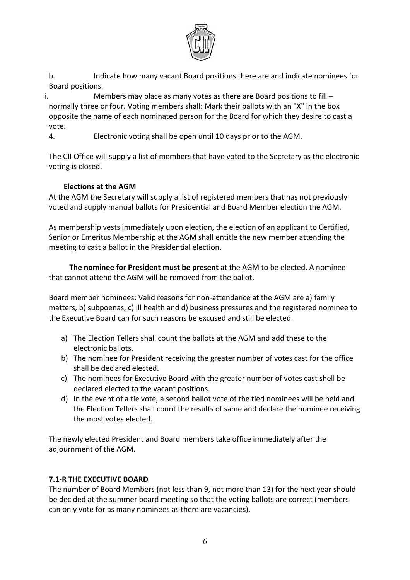

b. Indicate how many vacant Board positions there are and indicate nominees for Board positions.

i. Members may place as many votes as there are Board positions to fill  $$ normally three or four. Voting members shall: Mark their ballots with an "X" in the box opposite the name of each nominated person for the Board for which they desire to cast a vote.

4. Electronic voting shall be open until 10 days prior to the AGM.

The CII Office will supply a list of members that have voted to the Secretary as the electronic voting is closed.

# **Elections at the AGM**

At the AGM the Secretary will supply a list of registered members that has not previously voted and supply manual ballots for Presidential and Board Member election the AGM.

As membership vests immediately upon election, the election of an applicant to Certified, Senior or Emeritus Membership at the AGM shall entitle the new member attending the meeting to cast a ballot in the Presidential election.

The nominee for President must be present at the AGM to be elected. A nominee that cannot attend the AGM will be removed from the ballot.

Board member nominees: Valid reasons for non-attendance at the AGM are a) family matters, b) subpoenas, c) ill health and d) business pressures and the registered nominee to the Executive Board can for such reasons be excused and still be elected.

- a) The Election Tellers shall count the ballots at the AGM and add these to the electronic ballots.
- b) The nominee for President receiving the greater number of votes cast for the office shall be declared elected.
- c) The nominees for Executive Board with the greater number of votes cast shell be declared elected to the vacant positions.
- d) In the event of a tie vote, a second ballot vote of the tied nominees will be held and the Election Tellers shall count the results of same and declare the nominee receiving the most votes elected.

The newly elected President and Board members take office immediately after the adjournment of the AGM.

# **7.1-R THE EXECUTIVE BOARD**

The number of Board Members (not less than 9, not more than 13) for the next year should be decided at the summer board meeting so that the voting ballots are correct (members can only vote for as many nominees as there are vacancies).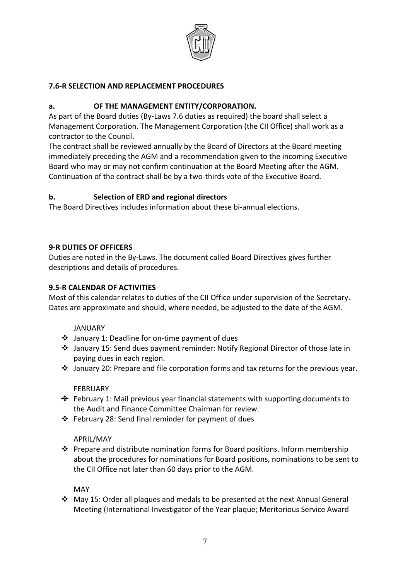

# **7.6-R SELECTION AND REPLACEMENT PROCEDURES**

#### a. **OF THE MANAGEMENT ENTITY/CORPORATION.**

As part of the Board duties (By-Laws 7.6 duties as required) the board shall select a Management Corporation. The Management Corporation (the CII Office) shall work as a contractor to the Council.

The contract shall be reviewed annually by the Board of Directors at the Board meeting immediately preceding the AGM and a recommendation given to the incoming Executive Board who may or may not confirm continuation at the Board Meeting after the AGM. Continuation of the contract shall be by a two-thirds vote of the Executive Board.

# **b.** Selection of ERD and regional directors

The Board Directives includes information about these bi-annual elections.

#### **9-R DUTIES OF OFFICERS**

Duties are noted in the By-Laws. The document called Board Directives gives further descriptions and details of procedures.

#### **9.5-R CALENDAR OF ACTIVITIES**

Most of this calendar relates to duties of the CII Office under supervision of the Secretary. Dates are approximate and should, where needed, be adjusted to the date of the AGM.

#### JANUARY

- $\cdot$  January 1: Deadline for on-time payment of dues
- $\clubsuit$  January 15: Send dues payment reminder: Notify Regional Director of those late in paying dues in each region.
- $\cdot$  January 20: Prepare and file corporation forms and tax returns for the previous year.

#### FEBRUARY

- $\div$  February 1: Mail previous year financial statements with supporting documents to the Audit and Finance Committee Chairman for review.
- $\cdot$  February 28: Send final reminder for payment of dues

#### APRIL/MAY

 $\cdot$  Prepare and distribute nomination forms for Board positions. Inform membership about the procedures for nominations for Board positions, nominations to be sent to the CII Office not later than 60 days prior to the AGM.

MAY

 $\cdot$  May 15: Order all plaques and medals to be presented at the next Annual General Meeting (International Investigator of the Year plaque; Meritorious Service Award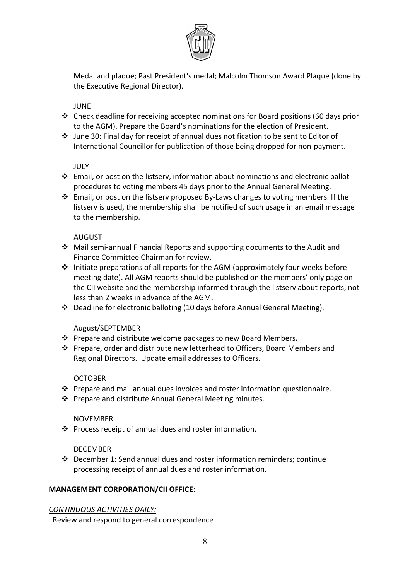

Medal and plaque; Past President's medal; Malcolm Thomson Award Plaque (done by the Executive Regional Director).

JUNE

- $\cdot$  Check deadline for receiving accepted nominations for Board positions (60 days prior to the AGM). Prepare the Board's nominations for the election of President.
- $\cdot$  June 30: Final day for receipt of annual dues notification to be sent to Editor of International Councillor for publication of those being dropped for non-payment.

JULY

- $\cdot$  Email, or post on the listserv, information about nominations and electronic ballot procedures to voting members 45 days prior to the Annual General Meeting.
- ❖ Email, or post on the listserv proposed By-Laws changes to voting members. If the listserv is used, the membership shall be notified of such usage in an email message to the membership.

#### AUGUST

- ❖ Mail semi-annual Financial Reports and supporting documents to the Audit and Finance Committee Chairman for review.
- $\cdot$  Initiate preparations of all reports for the AGM (approximately four weeks before meeting date). All AGM reports should be published on the members' only page on the CII website and the membership informed through the listserv about reports, not less than 2 weeks in advance of the AGM.
- ◆ Deadline for electronic balloting (10 days before Annual General Meeting).

#### August/SEPTEMBER

- $\cdot$  Prepare and distribute welcome packages to new Board Members.
- ❖ Prepare, order and distribute new letterhead to Officers, Board Members and Regional Directors. Update email addresses to Officers.

#### **OCTOBER**

- $\cdot$  Prepare and mail annual dues invoices and roster information questionnaire.
- $\cdot$  Prepare and distribute Annual General Meeting minutes.

#### NOVEMBER

 $\cdot$  Process receipt of annual dues and roster information.

#### DECEMBER

 $\cdot$  December 1: Send annual dues and roster information reminders; continue processing receipt of annual dues and roster information.

#### **MANAGEMENT CORPORATION/CII OFFICE:**

#### *CONTINUOUS ACTIVITIES DAILY:*

. Review and respond to general correspondence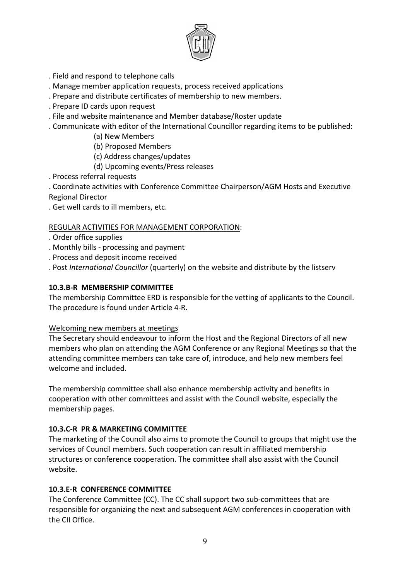

- . Field and respond to telephone calls
- . Manage member application requests, process received applications
- . Prepare and distribute certificates of membership to new members.
- . Prepare ID cards upon request
- . File and website maintenance and Member database/Roster update
- . Communicate with editor of the International Councillor regarding items to be published:
	- (a) New Members
	- (b) Proposed Members
	- (c) Address changes/updates
	- (d) Upcoming events/Press releases
- . Process referral requests

. Coordinate activities with Conference Committee Chairperson/AGM Hosts and Executive Regional Director

. Get well cards to ill members, etc.

#### REGULAR ACTIVITIES FOR MANAGEMENT CORPORATION:

- . Order office supplies
- . Monthly bills processing and payment
- . Process and deposit income received
- . Post *International Councillor* (quarterly) on the website and distribute by the listserv

# **10.3.B-R MEMBERSHIP COMMITTEE**

The membership Committee ERD is responsible for the vetting of applicants to the Council. The procedure is found under Article 4-R.

#### Welcoming new members at meetings

The Secretary should endeavour to inform the Host and the Regional Directors of all new members who plan on attending the AGM Conference or any Regional Meetings so that the attending committee members can take care of, introduce, and help new members feel welcome and included.

The membership committee shall also enhance membership activity and benefits in cooperation with other committees and assist with the Council website, especially the membership pages.

#### **10.3.C-R PR & MARKETING COMMITTEE**

The marketing of the Council also aims to promote the Council to groups that might use the services of Council members. Such cooperation can result in affiliated membership structures or conference cooperation. The committee shall also assist with the Council website.

#### **10.3.E-R CONFERENCE COMMITTEE**

The Conference Committee (CC). The CC shall support two sub-committees that are responsible for organizing the next and subsequent AGM conferences in cooperation with the CII Office.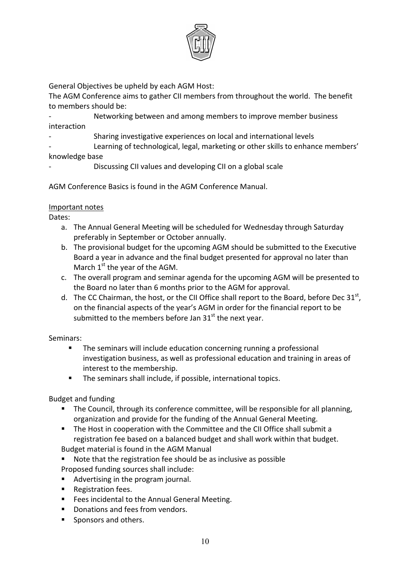

General Objectives be upheld by each AGM Host:

The AGM Conference aims to gather CII members from throughout the world. The benefit to members should be:

Networking between and among members to improve member business interaction

Sharing investigative experiences on local and international levels

Learning of technological, legal, marketing or other skills to enhance members' knowledge base

Discussing CII values and developing CII on a global scale

AGM Conference Basics is found in the AGM Conference Manual.

# Important notes

Dates:

- a. The Annual General Meeting will be scheduled for Wednesday through Saturday preferably in September or October annually.
- b. The provisional budget for the upcoming AGM should be submitted to the Executive Board a year in advance and the final budget presented for approval no later than March  $1<sup>st</sup>$  the year of the AGM.
- c. The overall program and seminar agenda for the upcoming AGM will be presented to the Board no later than 6 months prior to the AGM for approval.
- d. The CC Chairman, the host, or the CII Office shall report to the Board, before Dec  $31<sup>st</sup>$ , on the financial aspects of the year's AGM in order for the financial report to be submitted to the members before Jan  $31<sup>st</sup>$  the next year.

Seminars:

- **•** The seminars will include education concerning running a professional investigation business, as well as professional education and training in areas of interest to the membership.
- $\blacksquare$  The seminars shall include, if possible, international topics.

**Budget and funding** 

- The Council, through its conference committee, will be responsible for all planning, organization and provide for the funding of the Annual General Meeting.
- **•** The Host in cooperation with the Committee and the CII Office shall submit a registration fee based on a balanced budget and shall work within that budget. Budget material is found in the AGM Manual
- Note that the registration fee should be as inclusive as possible
- Proposed funding sources shall include:
- Advertising in the program journal.
- Registration fees.
- Fees incidental to the Annual General Meeting.
- Donations and fees from vendors.
- Sponsors and others.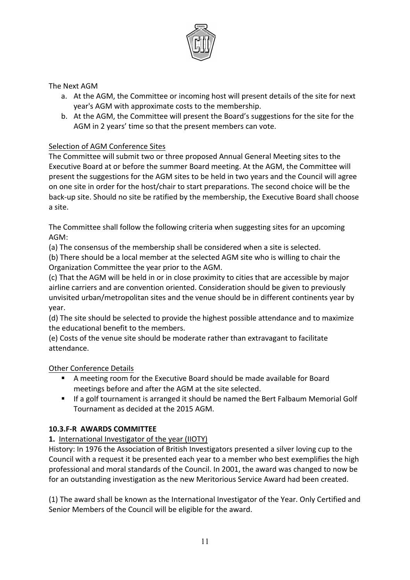

#### The Next AGM

- a. At the AGM, the Committee or incoming host will present details of the site for next year's AGM with approximate costs to the membership.
- b. At the AGM, the Committee will present the Board's suggestions for the site for the AGM in 2 years' time so that the present members can vote.

#### Selection of AGM Conference Sites

The Committee will submit two or three proposed Annual General Meeting sites to the Executive Board at or before the summer Board meeting. At the AGM, the Committee will present the suggestions for the AGM sites to be held in two years and the Council will agree on one site in order for the host/chair to start preparations. The second choice will be the back-up site. Should no site be ratified by the membership, the Executive Board shall choose a site. 

The Committee shall follow the following criteria when suggesting sites for an upcoming AGM:

(a) The consensus of the membership shall be considered when a site is selected.

(b) There should be a local member at the selected AGM site who is willing to chair the Organization Committee the year prior to the AGM.

(c) That the AGM will be held in or in close proximity to cities that are accessible by major airline carriers and are convention oriented. Consideration should be given to previously unvisited urban/metropolitan sites and the venue should be in different continents year by year.

(d) The site should be selected to provide the highest possible attendance and to maximize the educational benefit to the members.

(e) Costs of the venue site should be moderate rather than extravagant to facilitate attendance.

#### **Other Conference Details**

- A meeting room for the Executive Board should be made available for Board meetings before and after the AGM at the site selected.
- If a golf tournament is arranged it should be named the Bert Falbaum Memorial Golf Tournament as decided at the 2015 AGM.

#### **10.3.F-R AWARDS COMMITTEE**

#### 1. International Investigator of the year (IIOTY)

History: In 1976 the Association of British Investigators presented a silver loving cup to the Council with a request it be presented each year to a member who best exemplifies the high professional and moral standards of the Council. In 2001, the award was changed to now be for an outstanding investigation as the new Meritorious Service Award had been created.

(1) The award shall be known as the International Investigator of the Year. Only Certified and Senior Members of the Council will be eligible for the award.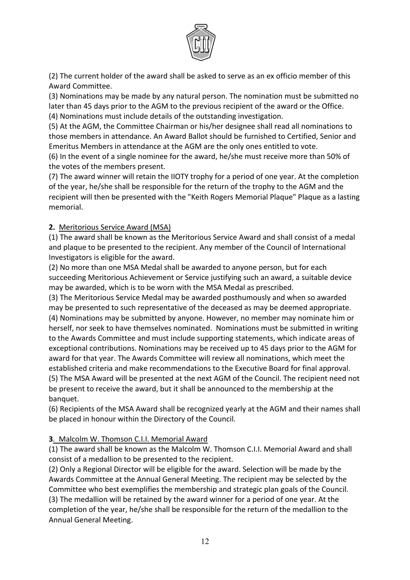

(2) The current holder of the award shall be asked to serve as an ex officio member of this Award Committee.

(3) Nominations may be made by any natural person. The nomination must be submitted no later than 45 days prior to the AGM to the previous recipient of the award or the Office. (4) Nominations must include details of the outstanding investigation.

(5) At the AGM, the Committee Chairman or his/her designee shall read all nominations to those members in attendance. An Award Ballot should be furnished to Certified, Senior and Emeritus Members in attendance at the AGM are the only ones entitled to vote.

(6) In the event of a single nominee for the award, he/she must receive more than 50% of the votes of the members present.

(7) The award winner will retain the IIOTY trophy for a period of one year. At the completion of the year, he/she shall be responsible for the return of the trophy to the AGM and the recipient will then be presented with the "Keith Rogers Memorial Plaque" Plaque as a lasting memorial. 

#### **2.** Meritorious Service Award (MSA)

(1) The award shall be known as the Meritorious Service Award and shall consist of a medal and plaque to be presented to the recipient. Any member of the Council of International Investigators is eligible for the award.

(2) No more than one MSA Medal shall be awarded to anyone person, but for each succeeding Meritorious Achievement or Service justifying such an award, a suitable device may be awarded, which is to be worn with the MSA Medal as prescribed.

(3) The Meritorious Service Medal may be awarded posthumously and when so awarded may be presented to such representative of the deceased as may be deemed appropriate. (4) Nominations may be submitted by anyone. However, no member may nominate him or herself, nor seek to have themselves nominated. Nominations must be submitted in writing to the Awards Committee and must include supporting statements, which indicate areas of exceptional contributions. Nominations may be received up to 45 days prior to the AGM for award for that year. The Awards Committee will review all nominations, which meet the established criteria and make recommendations to the Executive Board for final approval. (5) The MSA Award will be presented at the next AGM of the Council. The recipient need not be present to receive the award, but it shall be announced to the membership at the banquet.

(6) Recipients of the MSA Award shall be recognized yearly at the AGM and their names shall be placed in honour within the Directory of the Council.

#### **3**. Malcolm W. Thomson C.I.I. Memorial Award

(1) The award shall be known as the Malcolm W. Thomson C.I.I. Memorial Award and shall consist of a medallion to be presented to the recipient.

(2) Only a Regional Director will be eligible for the award. Selection will be made by the Awards Committee at the Annual General Meeting. The recipient may be selected by the Committee who best exemplifies the membership and strategic plan goals of the Council.

(3) The medallion will be retained by the award winner for a period of one year. At the completion of the year, he/she shall be responsible for the return of the medallion to the Annual General Meeting.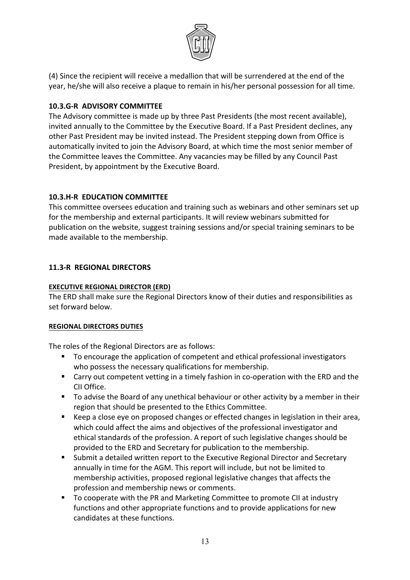

(4) Since the recipient will receive a medallion that will be surrendered at the end of the year, he/she will also receive a plaque to remain in his/her personal possession for all time.

# **10.3.G-R ADVISORY COMMITTEE**

The Advisory committee is made up by three Past Presidents (the most recent available), invited annually to the Committee by the Executive Board. If a Past President declines, any other Past President may be invited instead. The President stepping down from Office is automatically invited to join the Advisory Board, at which time the most senior member of the Committee leaves the Committee. Any vacancies may be filled by any Council Past President, by appointment by the Executive Board.

# **10.3.H-R EDUCATION COMMITTEE**

This committee oversees education and training such as webinars and other seminars set up for the membership and external participants. It will review webinars submitted for publication on the website, suggest training sessions and/or special training seminars to be made available to the membership.

#### **11.3-R REGIONAL DIRECTORS**

#### **EXECUTIVE REGIONAL DIRECTOR (ERD)**

The ERD shall make sure the Regional Directors know of their duties and responsibilities as set forward below.

#### **REGIONAL DIRECTORS DUTIES**

The roles of the Regional Directors are as follows:

- To encourage the application of competent and ethical professional investigators who possess the necessary qualifications for membership.
- Carry out competent vetting in a timely fashion in co-operation with the ERD and the CII Office.
- To advise the Board of any unethical behaviour or other activity by a member in their region that should be presented to the Ethics Committee.
- Keep a close eye on proposed changes or effected changes in legislation in their area, which could affect the aims and objectives of the professional investigator and ethical standards of the profession. A report of such legislative changes should be provided to the ERD and Secretary for publication to the membership.
- Submit a detailed written report to the Executive Regional Director and Secretary annually in time for the AGM. This report will include, but not be limited to membership activities, proposed regional legislative changes that affects the profession and membership news or comments.
- To cooperate with the PR and Marketing Committee to promote CII at industry functions and other appropriate functions and to provide applications for new candidates at these functions.